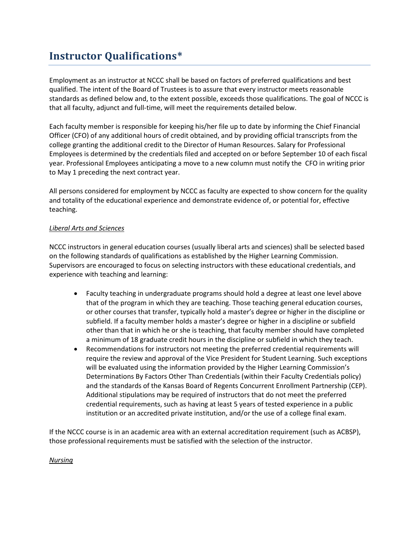## **Instructor Qualifications\***

Employment as an instructor at NCCC shall be based on factors of preferred qualifications and best qualified. The intent of the Board of Trustees is to assure that every instructor meets reasonable standards as defined below and, to the extent possible, exceeds those qualifications. The goal of NCCC is that all faculty, adjunct and full-time, will meet the requirements detailed below.

Each faculty member is responsible for keeping his/her file up to date by informing the Chief Financial Officer (CFO) of any additional hours of credit obtained, and by providing official transcripts from the college granting the additional credit to the Director of Human Resources. Salary for Professional Employees is determined by the credentials filed and accepted on or before September 10 of each fiscal year. Professional Employees anticipating a move to a new column must notify the CFO in writing prior to May 1 preceding the next contract year.

All persons considered for employment by NCCC as faculty are expected to show concern for the quality and totality of the educational experience and demonstrate evidence of, or potential for, effective teaching.

## *Liberal Arts and Sciences*

NCCC instructors in general education courses (usually liberal arts and sciences) shall be selected based on the following standards of qualifications as established by the Higher Learning Commission. Supervisors are encouraged to focus on selecting instructors with these educational credentials, and experience with teaching and learning:

- Faculty teaching in undergraduate programs should hold a degree at least one level above that of the program in which they are teaching. Those teaching general education courses, or other courses that transfer, typically hold a master's degree or higher in the discipline or subfield. If a faculty member holds a master's degree or higher in a discipline or subfield other than that in which he or she is teaching, that faculty member should have completed a minimum of 18 graduate credit hours in the discipline or subfield in which they teach.
- Recommendations for instructors not meeting the preferred credential requirements will require the review and approval of the Vice President for Student Learning. Such exceptions will be evaluated using the information provided by the Higher Learning Commission's Determinations By Factors Other Than Credentials (within their Faculty Credentials policy) and the standards of the Kansas Board of Regents Concurrent Enrollment Partnership (CEP). Additional stipulations may be required of instructors that do not meet the preferred credential requirements, such as having at least 5 years of tested experience in a public institution or an accredited private institution, and/or the use of a college final exam.

If the NCCC course is in an academic area with an external accreditation requirement (such as ACBSP), those professional requirements must be satisfied with the selection of the instructor.

## *Nursing*